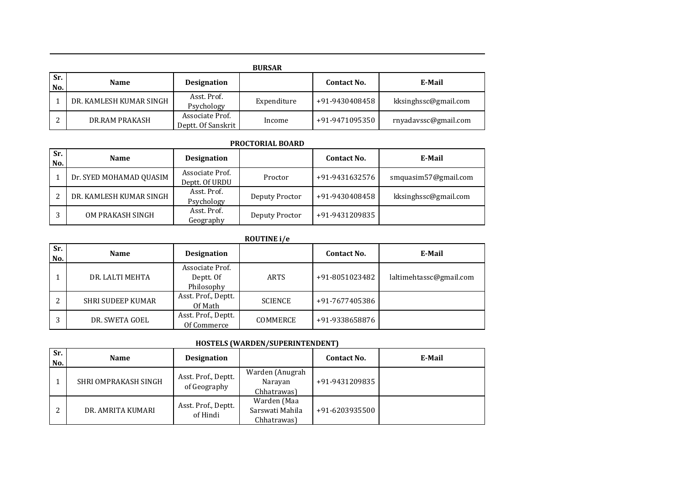|            | <b>BURSAR</b>           |                                       |             |                    |                      |  |  |  |
|------------|-------------------------|---------------------------------------|-------------|--------------------|----------------------|--|--|--|
| Sr.<br>No. | <b>Name</b>             | <b>Designation</b>                    |             | <b>Contact No.</b> | E-Mail               |  |  |  |
|            | DR. KAMLESH KUMAR SINGH | Asst. Prof.<br>Psychology             | Expenditure | +91-9430408458     | kksinghssc@gmail.com |  |  |  |
| ົາ         | DR.RAM PRAKASH          | Associate Prof.<br>Deptt. Of Sanskrit | Income      | +91-9471095350     | rnyadavssc@gmail.com |  |  |  |

#### **PROCTORIAL BOARD**

| Sr.<br>No. | <b>Name</b>             | <b>Designation</b>                |                | <b>Contact No.</b> | E-Mail               |
|------------|-------------------------|-----------------------------------|----------------|--------------------|----------------------|
|            | Dr. SYED MOHAMAD QUASIM | Associate Prof.<br>Deptt. Of URDU | Proctor        | +91-9431632576     | smquasim57@gmail.com |
|            | DR. KAMLESH KUMAR SINGH | Asst. Prof.<br>Psychology         | Deputy Proctor | +91-9430408458     | kksinghssc@gmail.com |
|            | OM PRAKASH SINGH        | Asst. Prof.<br>Geography          | Deputy Proctor | +91-9431209835     |                      |

## **ROUTINE i/e**

| Sr.<br>No. | <b>Name</b>              | <b>Designation</b>                         |                | <b>Contact No.</b> | E-Mail                  |  |  |
|------------|--------------------------|--------------------------------------------|----------------|--------------------|-------------------------|--|--|
|            | DR. LALTI MEHTA          | Associate Prof.<br>Deptt. Of<br>Philosophy | ARTS           | +91-8051023482     | laltimehtassc@gmail.com |  |  |
|            | <b>SHRI SUDEEP KUMAR</b> | Asst. Prof., Deptt.<br>Of Math             | <b>SCIENCE</b> | +91-7677405386     |                         |  |  |
|            | DR. SWETA GOEL           | Asst. Prof., Deptt.<br>Of Commerce         | COMMERCE       | +91-9338658876     |                         |  |  |

# **HOSTELS (WARDEN/SUPERINTENDENT)**

| Sr.<br>No. | <b>Name</b>          | <b>Designation</b>                  |                                               | <b>Contact No.</b> | E-Mail |
|------------|----------------------|-------------------------------------|-----------------------------------------------|--------------------|--------|
|            | SHRI OMPRAKASH SINGH | Asst. Prof., Deptt.<br>of Geography | Warden (Anugrah<br>Narayan<br>Chhatrawas)     | +91-9431209835     |        |
|            | DR. AMRITA KUMARI    | Asst. Prof., Deptt.<br>of Hindi     | Warden (Maa<br>Sarswati Mahila<br>Chhatrawas) | +91-6203935500     |        |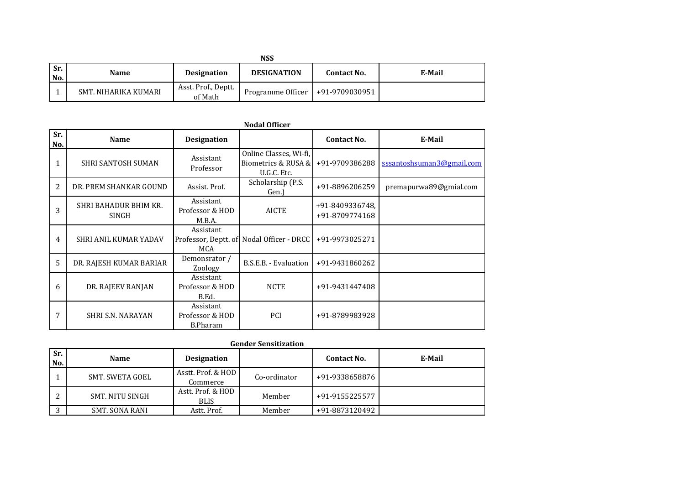|              | NSS                  |                                |                                    |                    |        |  |  |  |
|--------------|----------------------|--------------------------------|------------------------------------|--------------------|--------|--|--|--|
| l Sr.<br>No. | Name                 | <b>Designation</b>             | <b>DESIGNATION</b>                 | <b>Contact No.</b> | E-Mail |  |  |  |
|              | SMT. NIHARIKA KUMARI | Asst. Prof., Deptt.<br>of Math | Programme Officer   +91-9709030951 |                    |        |  |  |  |

| Sr.<br>No. | Name                           | <b>Designation</b>                              |                                                              | <b>Contact No.</b>                | E-Mail                    |
|------------|--------------------------------|-------------------------------------------------|--------------------------------------------------------------|-----------------------------------|---------------------------|
|            | SHRI SANTOSH SUMAN             | Assistant<br>Professor                          | Online Classes, Wi-fi,<br>Biometrics & RUSA &<br>U.G.C. Etc. | +91-9709386288                    | sssantoshsuman3@gmail.com |
| 2          | DR. PREM SHANKAR GOUND         | Assist, Prof.                                   | Scholarship (P.S.<br>Gen.)                                   | +91-8896206259                    | premapurwa89@gmial.com    |
| 3          | SHRI BAHADUR BHIM KR.<br>SINGH | Assistant<br>Professor & HOD<br>M.B.A.          | <b>AICTE</b>                                                 | +91-8409336748,<br>+91-8709774168 |                           |
| 4          | <b>SHRI ANIL KUMAR YADAV</b>   | Assistant<br>Professor, Deptt. of<br>MCA        | Nodal Officer - DRCC                                         | +91-9973025271                    |                           |
| 5          | DR. RAJESH KUMAR BARIAR        | Demonsrator /<br>Zoology                        | B.S.E.B. - Evaluation                                        | +91-9431860262                    |                           |
| 6          | DR. RAJEEV RANJAN              | Assistant<br>Professor & HOD<br>B.Ed.           | <b>NCTE</b>                                                  | +91-9431447408                    |                           |
| 7          | <b>SHRI S.N. NARAYAN</b>       | Assistant<br>Professor & HOD<br><b>B.Pharam</b> | PCI                                                          | +91-8789983928                    |                           |

#### **Nodal Officer**

| <b>Gender Sensitization</b> |  |
|-----------------------------|--|
|-----------------------------|--|

| Sr.<br>No. | <b>Name</b>     | <b>Designation</b>               |              | <b>Contact No.</b> | E-Mail |
|------------|-----------------|----------------------------------|--------------|--------------------|--------|
|            | SMT. SWETA GOEL | Asstt. Prof. & HOD<br>Commerce   | Co-ordinator | +91-9338658876     |        |
|            | SMT. NITU SINGH | Astt. Prof. & HOD<br><b>BLIS</b> | Member       | +91-9155225577     |        |
|            | SMT. SONA RANI  | Astt. Prof.                      | Member       | +91-8873120492     |        |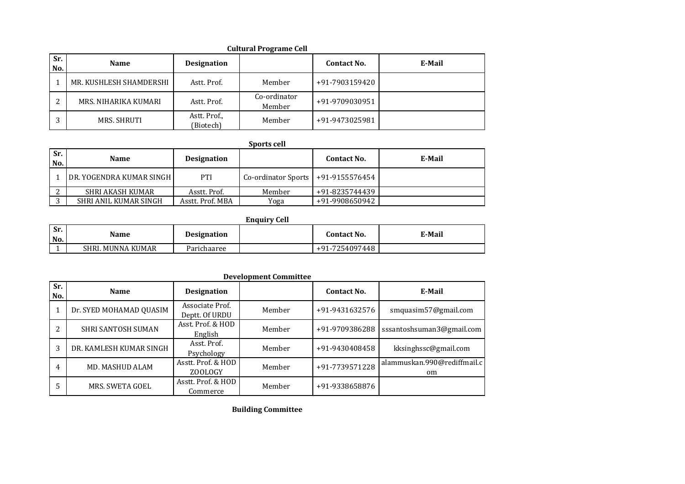|            |                         |                           | <b>Cultural Programe Cell</b> |                    |        |
|------------|-------------------------|---------------------------|-------------------------------|--------------------|--------|
| Sr.<br>No. | <b>Name</b>             | <b>Designation</b>        |                               | <b>Contact No.</b> | E-Mail |
|            | MR. KUSHLESH SHAMDERSHI | Astt. Prof.               | Member                        | +91-7903159420     |        |
| ົ          | MRS. NIHARIKA KUMARI    | Astt. Prof.               | Co-ordinator<br>Member        | +91-9709030951     |        |
| $\sqrt{2}$ | <b>MRS. SHRUTI</b>      | Astt. Prof.,<br>(Biotech) | Member                        | +91-9473025981     |        |

# **Sports cell**

| Sr.<br>No. | <b>Name</b>                       | <b>Designation</b> |                                        | <b>Contact No.</b> | E-Mail |
|------------|-----------------------------------|--------------------|----------------------------------------|--------------------|--------|
|            | <b>IDR. YOGENDRA KUMAR SINGHI</b> | PTI                | Co-ordinator Sports   $+91-9155576454$ |                    |        |
|            | SHRI AKASH KUMAR                  | Asstt. Prof.       | Member                                 | +91-8235744439     |        |
|            | SHRI ANIL KUMAR SINGH             | Asstt. Prof. MBA   | Yoga                                   | +91-9908650942     |        |

**Enquiry Cell**

| Sr.<br>No. | Name              | <b>Designation</b> | Contact No.    | E-Mail |
|------------|-------------------|--------------------|----------------|--------|
| -          | SHRI. MUNNA KUMAR | Parichaaree        | +91-7254097448 |        |

|            | <b>Development Committee</b> |                                   |        |                    |                                   |  |  |
|------------|------------------------------|-----------------------------------|--------|--------------------|-----------------------------------|--|--|
| Sr.<br>No. | <b>Name</b>                  | <b>Designation</b>                |        | <b>Contact No.</b> | E-Mail                            |  |  |
|            | Dr. SYED MOHAMAD QUASIM      | Associate Prof.<br>Deptt. Of URDU | Member | +91-9431632576     | smquasim57@gmail.com              |  |  |
|            | <b>SHRI SANTOSH SUMAN</b>    | Asst. Prof. & HOD<br>English      | Member | +91-9709386288     | sssantoshsuman3@gmail.com         |  |  |
| 3          | DR. KAMLESH KUMAR SINGH      | Asst. Prof.<br>Psychology         | Member | +91-9430408458     | kksinghssc@gmail.com              |  |  |
| 4          | <b>MD. MASHUD ALAM</b>       | Asstt. Prof. & HOD<br>ZOOLOGY     | Member | +91-7739571228     | alammuskan.990@rediffmail.c<br>om |  |  |
|            | MRS. SWETA GOEL              | Asstt. Prof. & HOD<br>Commerce    | Member | +91-9338658876     |                                   |  |  |

**Building Committee**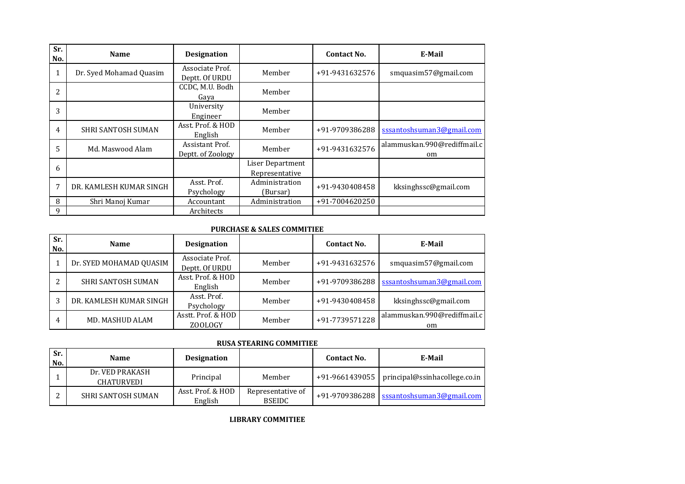| Sr.<br>No. | <b>Name</b>               | <b>Designation</b>                   |                                    | Contact No.    | E-Mail                            |
|------------|---------------------------|--------------------------------------|------------------------------------|----------------|-----------------------------------|
| T          | Dr. Syed Mohamad Quasim   | Associate Prof.<br>Deptt. Of URDU    | Member                             | +91-9431632576 | smquasim57@gmail.com              |
| 2          |                           | CCDC, M.U. Bodh<br>Gava              | Member                             |                |                                   |
| 3          |                           | University<br>Engineer               | Member                             |                |                                   |
| 4          | <b>SHRI SANTOSH SUMAN</b> | Asst. Prof. & HOD<br>English         | Member                             | +91-9709386288 | sssantoshsuman3@gmail.com         |
| 5          | Md. Maswood Alam          | Assistant Prof.<br>Deptt. of Zoology | Member                             | +91-9431632576 | alammuskan.990@rediffmail.c<br>om |
| 6          |                           |                                      | Liser Department<br>Representative |                |                                   |
| 7          | DR. KAMLESH KUMAR SINGH   | Asst. Prof.<br>Psychology            | Administration<br>(Bursar)         | +91-9430408458 | kksinghssc@gmail.com              |
| 8          | Shri Manoj Kumar          | Accountant                           | Administration                     | +91-7004620250 |                                   |
| 9          |                           | Architects                           |                                    |                |                                   |

#### **PURCHASE & SALES COMMITIEE**

| Sr.<br>No. | <b>Name</b>               | <b>Designation</b>                |        | <b>Contact No.</b> | E-Mail                            |
|------------|---------------------------|-----------------------------------|--------|--------------------|-----------------------------------|
|            | Dr. SYED MOHAMAD QUASIM   | Associate Prof.<br>Deptt. Of URDU | Member | +91-9431632576     | smquasim57@gmail.com              |
|            | <b>SHRI SANTOSH SUMAN</b> | Asst. Prof. & HOD<br>English      | Member | +91-9709386288     | sssantoshsuman3@gmail.com         |
|            | DR. KAMLESH KUMAR SINGH   | Asst. Prof.<br>Psychology         | Member | +91-9430408458     | kksinghssc@gmail.com              |
| 4          | MD. MASHUD ALAM           | Asstt. Prof. & HOD<br>ZOOLOGY     | Member | +91-7739571228     | alammuskan.990@rediffmail.c<br>om |

#### **RUSA STEARING COMMITIEE**

| Sr.<br>No. | <b>Name</b>                   | <b>Designation</b>           |                                    | Contact No. | E-Mail                                         |
|------------|-------------------------------|------------------------------|------------------------------------|-------------|------------------------------------------------|
|            | Dr. VED PRAKASH<br>CHATURVEDI | Principal                    | Member                             |             | +91-9661439055   principal@ssinhacollege.co.in |
|            | <b>SHRI SANTOSH SUMAN</b>     | Asst. Prof. & HOD<br>English | Representative of<br><b>BSEIDC</b> |             | +91-9709386288   sssantoshsuman3@gmail.com     |

**LIBRARY COMMITIEE**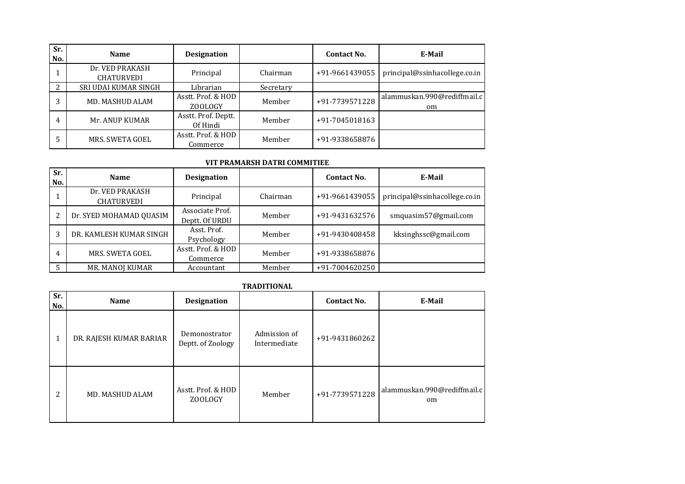| Sr.<br>No. | <b>Name</b>                          | <b>Designation</b>              |           | <b>Contact No.</b> | E-Mail                            |
|------------|--------------------------------------|---------------------------------|-----------|--------------------|-----------------------------------|
|            | Dr. VED PRAKASH<br><b>CHATURVEDI</b> | Principal                       | Chairman  | +91-9661439055     | principal@ssinhacollege.co.in     |
|            | SRI UDAI KUMAR SINGH                 | Librarian                       | Secretary |                    |                                   |
|            | MD. MASHUD ALAM                      | Asstt. Prof. & HOD<br>ZOOLOGY   | Member    | +91-7739571228     | alammuskan.990@rediffmail.c<br>om |
| 4          | Mr. ANUP KUMAR                       | Asstt. Prof. Deptt.<br>Of Hindi | Member    | +91-7045018163     |                                   |
|            | MRS. SWETA GOEL                      | Asstt. Prof. & HOD<br>Commerce  | Member    | +91-9338658876     |                                   |

### **VIT PRAMARSH DATRI COMMITIEE**

| Sr.<br>No. | <b>Name</b>                          | <b>Designation</b>                |          | Contact No.    | E-Mail                        |
|------------|--------------------------------------|-----------------------------------|----------|----------------|-------------------------------|
|            | Dr. VED PRAKASH<br><b>CHATURVEDI</b> | Principal                         | Chairman | +91-9661439055 | principal@ssinhacollege.co.in |
|            | Dr. SYED MOHAMAD QUASIM              | Associate Prof.<br>Deptt. Of URDU | Member   | +91-9431632576 | smquasim57@gmail.com          |
|            | DR. KAMLESH KUMAR SINGH              | Asst. Prof.<br>Psychology         | Member   | +91-9430408458 | kksinghssc@gmail.com          |
| 4          | MRS. SWETA GOEL                      | Asstt. Prof. & HOD<br>Commerce    | Member   | +91-9338658876 |                               |
|            | MR. MANOJ KUMAR                      | Accountant                        | Member   | +91-7004620250 |                               |

## **TRADITIONAL**

| Sr.<br>No. | <b>Name</b>             | <b>Designation</b>                 |                              | <b>Contact No.</b> | E-Mail                            |
|------------|-------------------------|------------------------------------|------------------------------|--------------------|-----------------------------------|
|            | DR. RAJESH KUMAR BARIAR | Demonostrator<br>Deptt. of Zoology | Admission of<br>Intermediate | +91-9431860262     |                                   |
| 2          | <b>MD. MASHUD ALAM</b>  | Asstt. Prof. & HOD<br>ZOOLOGY      | Member                       | +91-7739571228     | alammuskan.990@rediffmail.c<br>om |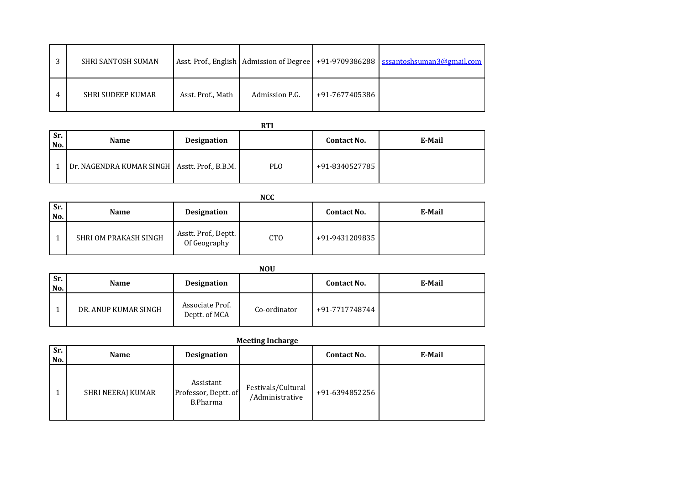| 2 | SHRI SANTOSH SUMAN       |                   |                |                | Asst. Prof., English   Admission of Degree   +91-9709386288   sssantoshsuman3@gmail.com |
|---|--------------------------|-------------------|----------------|----------------|-----------------------------------------------------------------------------------------|
| 4 | <b>SHRI SUDEEP KUMAR</b> | Asst. Prof., Math | Admission P.G. | +91-7677405386 |                                                                                         |

| Sr.<br>No. | <b>Name</b>                                     | <b>Designation</b> |     | <b>Contact No.</b> | E-Mail |
|------------|-------------------------------------------------|--------------------|-----|--------------------|--------|
|            | Dr. NAGENDRA KUMAR SINGH   Asstt. Prof., B.B.M. |                    | PLO | +91-8340527785     |        |

|            | <b>NCC</b>            |                                      |            |                    |        |  |  |  |
|------------|-----------------------|--------------------------------------|------------|--------------------|--------|--|--|--|
| Sr.<br>No. | <b>Name</b>           | Designation                          |            | <b>Contact No.</b> | E-Mail |  |  |  |
|            | SHRI OM PRAKASH SINGH | Asstt. Prof., Deptt.<br>Of Geography | <b>CTO</b> | +91-9431209835     |        |  |  |  |

|            | <b>NOU</b>           |                                  |              |                    |        |  |  |  |  |
|------------|----------------------|----------------------------------|--------------|--------------------|--------|--|--|--|--|
| Sr.<br>No. | Name                 | <b>Designation</b>               |              | <b>Contact No.</b> | E-Mail |  |  |  |  |
|            | DR. ANUP KUMAR SINGH | Associate Prof.<br>Deptt. of MCA | Co-ordinator | +91-7717748744     |        |  |  |  |  |

| Sr.<br>No. | <b>Name</b>       | Designation                                   |                                       | <b>Contact No.</b> | E-Mail |
|------------|-------------------|-----------------------------------------------|---------------------------------------|--------------------|--------|
|            | SHRI NEERAJ KUMAR | Assistant<br>Professor, Deptt. of<br>B.Pharma | Festivals/Cultural<br>/Administrative | +91-6394852256     |        |

| <b>Meeting Incharge</b> |  |
|-------------------------|--|
|-------------------------|--|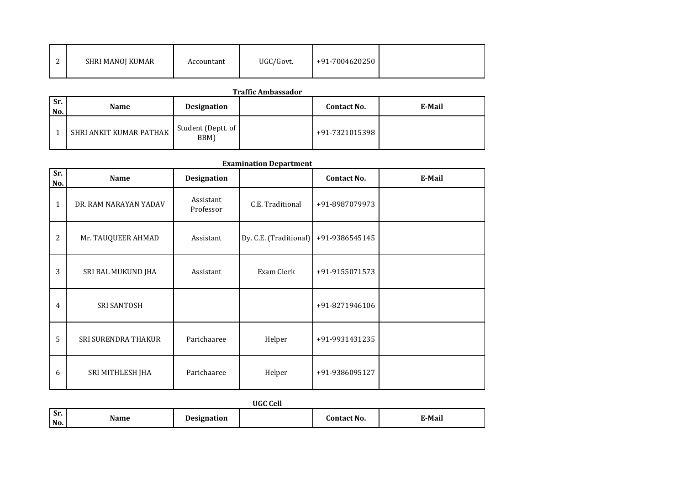| ◠ | SHRI MANOJ KUMAR | Accountant | UGC/Govt. | +91-7004620250 |  |
|---|------------------|------------|-----------|----------------|--|
|---|------------------|------------|-----------|----------------|--|

| Sr.<br>No. | <b>Name</b>             | <b>Designation</b>         | <b>Contact No.</b> | E-Mail |
|------------|-------------------------|----------------------------|--------------------|--------|
|            | SHRI ANKIT KUMAR PATHAK | Student (Deptt. of<br>BBM) | +91-7321015398     |        |

| Sr. | Name                  | <b>Designation</b>     |                        | <b>Contact No.</b> | E-Mail |
|-----|-----------------------|------------------------|------------------------|--------------------|--------|
| No. |                       |                        |                        |                    |        |
| 1   | DR. RAM NARAYAN YADAV | Assistant<br>Professor | C.E. Traditional       | +91-8987079973     |        |
| 2   | Mr. TAUQUEER AHMAD    | Assistant              | Dy. C.E. (Traditional) | +91-9386545145     |        |
| 3   | SRI BAL MUKUND JHA    | Assistant              | Exam Clerk             | +91-9155071573     |        |
| 4   | <b>SRI SANTOSH</b>    |                        |                        | +91-8271946106     |        |
| 5   | SRI SURENDRA THAKUR   | Parichaaree            | Helper                 | +91-9931431235     |        |
| 6   | SRI MITHLESH JHA      | Parichaaree            | Helper                 | +91-9386095127     |        |

|            | UGC Cell |                    |  |             |        |  |  |
|------------|----------|--------------------|--|-------------|--------|--|--|
| Sr.<br>No. | Name     | <b>Designation</b> |  | Contact No. | E-Mail |  |  |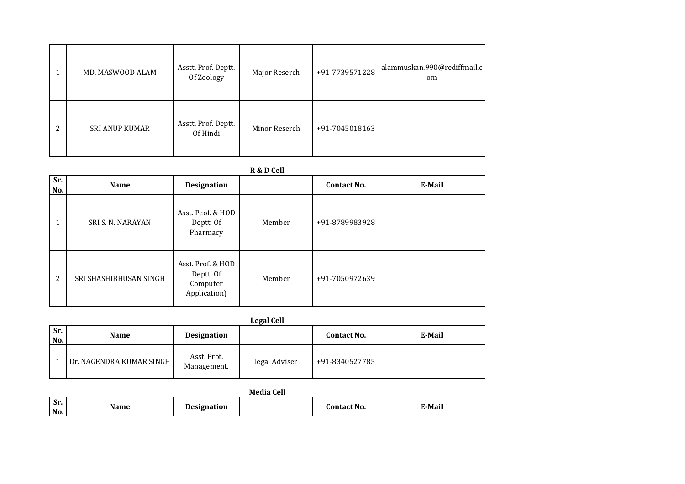|   | MD. MASWOOD ALAM      | Asstt. Prof. Deptt.<br>Of Zoology | Major Reserch | +91-7739571228 | alammuskan.990@rediffmail.c<br>om |
|---|-----------------------|-----------------------------------|---------------|----------------|-----------------------------------|
| 2 | <b>SRI ANUP KUMAR</b> | Asstt. Prof. Deptt.<br>Of Hindi   | Minor Reserch | +91-7045018163 |                                   |

| Sr.<br>No. | <b>Name</b>            | <b>Designation</b>                                         |        | <b>Contact No.</b> | E-Mail |
|------------|------------------------|------------------------------------------------------------|--------|--------------------|--------|
|            | SRI S. N. NARAYAN      | Asst. Peof. & HOD<br>Deptt. Of<br>Pharmacy                 | Member | +91-8789983928     |        |
| 2          | SRI SHASHIBHUSAN SINGH | Asst. Prof. & HOD<br>Deptt. Of<br>Computer<br>Application) | Member | +91-7050972639     |        |

**Legal Cell**

| Sr.<br>I No. | <b>Name</b>              | <b>Designation</b>         |               | <b>Contact No.</b> | E-Mail |
|--------------|--------------------------|----------------------------|---------------|--------------------|--------|
|              | Dr. NAGENDRA KUMAR SINGH | Asst. Prof.<br>Management. | legal Adviser | +91-8340527785     |        |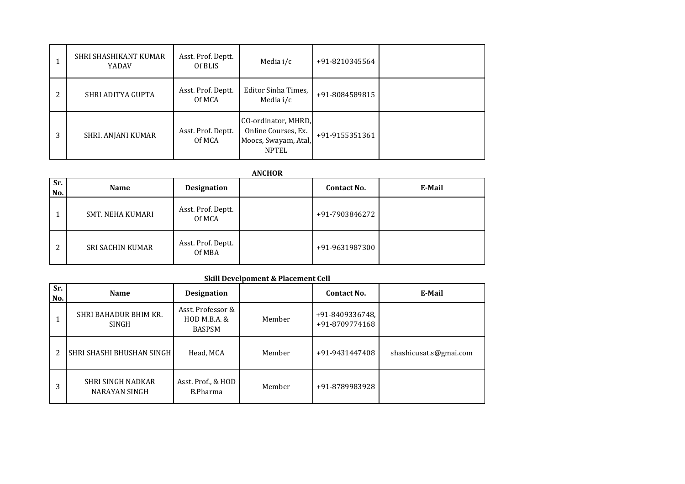|   | SHRI SHASHIKANT KUMAR<br>YADAV | Asst. Prof. Deptt.<br>Of BLIS | Media i/c                                                                          | +91-8210345564 |  |
|---|--------------------------------|-------------------------------|------------------------------------------------------------------------------------|----------------|--|
| 2 | SHRI ADITYA GUPTA              | Asst. Prof. Deptt.<br>Of MCA  | Editor Sinha Times,<br>Media $i/c$                                                 | +91-8084589815 |  |
| 3 | SHRI. ANJANI KUMAR             | Asst. Prof. Deptt.<br>Of MCA  | CO-ordinator, MHRD,<br>Online Courses, Ex.<br>Moocs, Swayam, Atal,<br><b>NPTEL</b> | +91-9155351361 |  |

| CHOI<br>N<br>κ |  |
|----------------|--|
|                |  |

| Sr.<br>No. | <b>Name</b>             | <b>Designation</b>           | <b>Contact No.</b> | E-Mail |
|------------|-------------------------|------------------------------|--------------------|--------|
|            | SMT. NEHA KUMARI        | Asst. Prof. Deptt.<br>Of MCA | +91-7903846272     |        |
| ∍          | <b>SRI SACHIN KUMAR</b> | Asst. Prof. Deptt.<br>Of MBA | +91-9631987300     |        |

# **Skill Develpoment & Placement Cell**

| $S_{r}$ .<br>No. | <b>Name</b>                           | <b>Designation</b>                                 |        | Contact No.                       | E-Mail                 |
|------------------|---------------------------------------|----------------------------------------------------|--------|-----------------------------------|------------------------|
|                  | SHRI BAHADUR BHIM KR.<br><b>SINGH</b> | Asst. Professor &<br>HOD M.B.A. &<br><b>BASPSM</b> | Member | +91-8409336748,<br>+91-8709774168 |                        |
|                  | SHRI SHASHI BHUSHAN SINGH             | Head, MCA                                          | Member | +91-9431447408                    | shashicusat.s@gmai.com |
| 3                | SHRI SINGH NADKAR<br>NARAYAN SINGH    | Asst. Prof., & HOD<br>B.Pharma                     | Member | +91-8789983928                    |                        |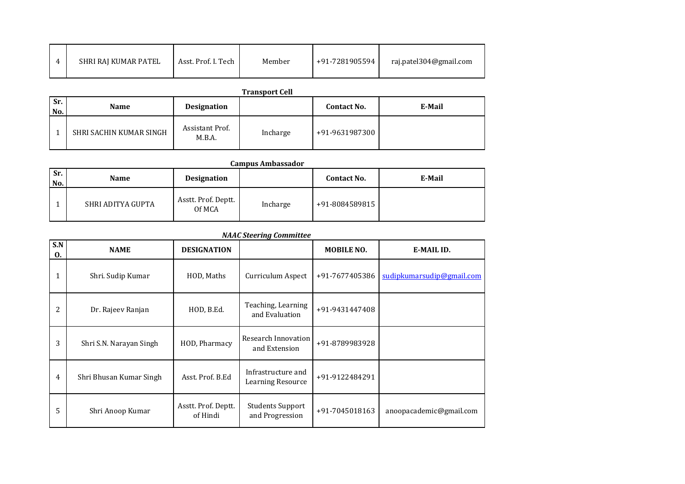|  | SHRI RAJ KUMAR PATEL | Asst. Prof. I. Tech | Member | +91-7281905594 | raj.patel304@gmail.com |
|--|----------------------|---------------------|--------|----------------|------------------------|
|--|----------------------|---------------------|--------|----------------|------------------------|

|            | <b>Transport Cell</b>   |                           |          |                    |        |  |  |  |
|------------|-------------------------|---------------------------|----------|--------------------|--------|--|--|--|
| Sr.<br>No. | Name                    | <b>Designation</b>        |          | <b>Contact No.</b> | E-Mail |  |  |  |
|            | SHRI SACHIN KUMAR SINGH | Assistant Prof.<br>M.B.A. | Incharge | +91-9631987300     |        |  |  |  |

|              | <b>Campus Ambassador</b> |                               |          |                    |        |  |  |  |
|--------------|--------------------------|-------------------------------|----------|--------------------|--------|--|--|--|
| l Sr.<br>No. | <b>Name</b>              | Designation                   |          | <b>Contact No.</b> | E-Mail |  |  |  |
|              | SHRI ADITYA GUPTA        | Asstt. Prof. Deptt.<br>Of MCA | Incharge | +91-8084589815     |        |  |  |  |

| <b>NAAC Steering Committee</b> |  |
|--------------------------------|--|
|--------------------------------|--|

| S.N<br>0.    | <b>NAME</b>             | <b>DESIGNATION</b>              | nanie oteering committee                       | <b>MOBILE NO.</b> | E-MAIL ID.                |
|--------------|-------------------------|---------------------------------|------------------------------------------------|-------------------|---------------------------|
| $\mathbf{1}$ | Shri. Sudip Kumar       | HOD, Maths                      | Curriculum Aspect                              | +91-7677405386    | sudipkumarsudip@gmail.com |
| 2            | Dr. Rajeev Ranjan       | HOD, B.Ed.                      | Teaching, Learning<br>and Evaluation           | +91-9431447408    |                           |
| 3            | Shri S.N. Narayan Singh | HOD, Pharmacy                   | Research Innovation<br>and Extension           | +91-8789983928    |                           |
| 4            | Shri Bhusan Kumar Singh | Asst. Prof. B.Ed                | Infrastructure and<br><b>Learning Resource</b> | +91-9122484291    |                           |
| 5            | Shri Anoop Kumar        | Asstt. Prof. Deptt.<br>of Hindi | <b>Students Support</b><br>and Progression     | +91-7045018163    | anoopacademic@gmail.com   |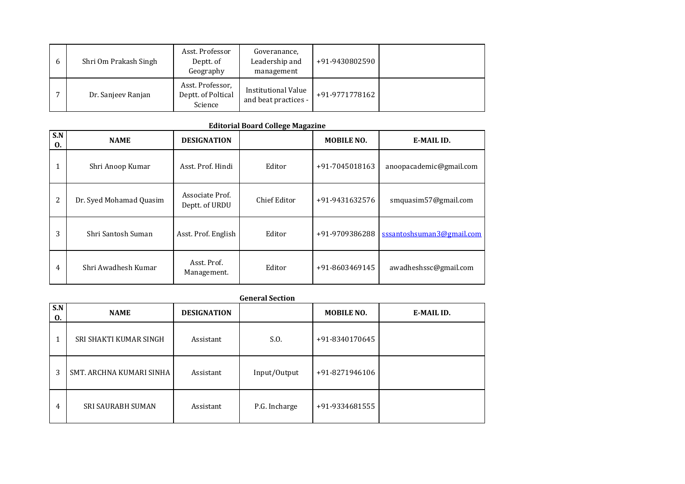| <sub>b</sub> | Shri Om Prakash Singh | Asst. Professor<br>Deptt. of<br>Geography         | Goveranance,<br>Leadership and<br>management       | +91-9430802590 |  |
|--------------|-----------------------|---------------------------------------------------|----------------------------------------------------|----------------|--|
|              | Dr. Sanjeev Ranjan    | Asst. Professor,<br>Deptt. of Poltical<br>Science | <b>Institutional Value</b><br>and beat practices - | +91-9771778162 |  |

# **Editorial Board College Magazine**

| S.N<br>0. | <b>NAME</b>             | <b>DESIGNATION</b>                |              | <b>MOBILE NO.</b> | E-MAIL ID.                |
|-----------|-------------------------|-----------------------------------|--------------|-------------------|---------------------------|
|           | Shri Anoop Kumar        | Asst. Prof. Hindi                 | Editor       | +91-7045018163    | anoopacademic@gmail.com   |
| 2         | Dr. Syed Mohamad Quasim | Associate Prof.<br>Deptt. of URDU | Chief Editor | +91-9431632576    | smquasim57@gmail.com      |
| 3         | Shri Santosh Suman      | Asst. Prof. English               | Editor       | +91-9709386288    | sssantoshsuman3@gmail.com |
| 4         | Shri Awadhesh Kumar     | Asst. Prof.<br>Management.        | Editor       | +91-8603469145    | awadheshssc@gmail.com     |

|           | <b>General Section</b>          |                    |               |                   |            |  |  |  |
|-----------|---------------------------------|--------------------|---------------|-------------------|------------|--|--|--|
| S.N<br>0. | <b>NAME</b>                     | <b>DESIGNATION</b> |               | <b>MOBILE NO.</b> | E-MAIL ID. |  |  |  |
|           | SRI SHAKTI KUMAR SINGH          | Assistant          | S.O.          | +91-8340170645    |            |  |  |  |
| 3         | <b>SMT. ARCHNA KUMARI SINHA</b> | Assistant          | Input/Output  | +91-8271946106    |            |  |  |  |
| 4         | <b>SRI SAURABH SUMAN</b>        | Assistant          | P.G. Incharge | +91-9334681555    |            |  |  |  |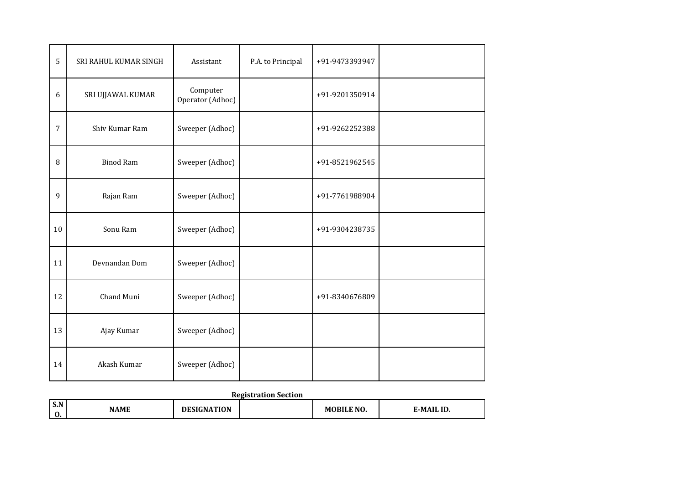| 5              | SRI RAHUL KUMAR SINGH | Assistant                    | P.A. to Principal | +91-9473393947 |  |
|----------------|-----------------------|------------------------------|-------------------|----------------|--|
| 6              | SRI UJJAWAL KUMAR     | Computer<br>Operator (Adhoc) |                   | +91-9201350914 |  |
| $\overline{7}$ | Shiv Kumar Ram        | Sweeper (Adhoc)              |                   | +91-9262252388 |  |
| 8              | <b>Binod Ram</b>      | Sweeper (Adhoc)              |                   | +91-8521962545 |  |
| 9              | Rajan Ram             | Sweeper (Adhoc)              |                   | +91-7761988904 |  |
| 10             | Sonu Ram              | Sweeper (Adhoc)              |                   | +91-9304238735 |  |
| 11             | Devnandan Dom         | Sweeper (Adhoc)              |                   |                |  |
| 12             | Chand Muni            | Sweeper (Adhoc)              |                   | +91-8340676809 |  |
| 13             | Ajay Kumar            | Sweeper (Adhoc)              |                   |                |  |
| 14             | Akash Kumar           | Sweeper (Adhoc)              |                   |                |  |

# **Registration Section**

| S.N<br>v. | <b>NAME</b> | $\cdots$<br>IN<br>$^{\prime\prime}$ |  | $\overline{N}$ NO | ID |  |  |  |
|-----------|-------------|-------------------------------------|--|-------------------|----|--|--|--|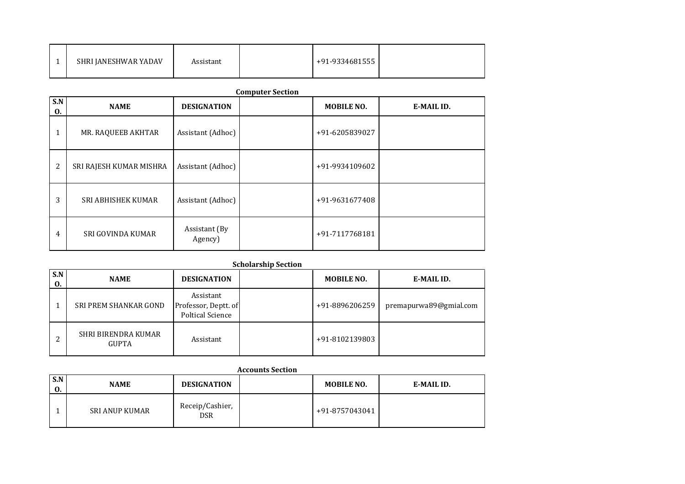|  | SHRI JANESHWAR YADAV | Assistant |  | $+91-9334681555$ |  |
|--|----------------------|-----------|--|------------------|--|
|--|----------------------|-----------|--|------------------|--|

| S.N<br>0. | <b>NAME</b>             | <b>DESIGNATION</b>       | <b>Computer Section</b> | <b>MOBILE NO.</b> | E-MAIL ID. |
|-----------|-------------------------|--------------------------|-------------------------|-------------------|------------|
|           | MR. RAQUEEB AKHTAR      | Assistant (Adhoc)        |                         | +91-6205839027    |            |
| 2         | SRI RAJESH KUMAR MISHRA | Assistant (Adhoc)        |                         | +91-9934109602    |            |
| 3         | SRI ABHISHEK KUMAR      | Assistant (Adhoc)        |                         | +91-9631677408    |            |
| 4         | SRI GOVINDA KUMAR       | Assistant (By<br>Agency) |                         | +91-7117768181    |            |

|           | <b>Scholarship Section</b>          |                                                              |  |                   |                        |  |  |  |  |
|-----------|-------------------------------------|--------------------------------------------------------------|--|-------------------|------------------------|--|--|--|--|
| S.N<br>0. | <b>NAME</b>                         | <b>DESIGNATION</b>                                           |  | <b>MOBILE NO.</b> | E-MAIL ID.             |  |  |  |  |
|           | SRI PREM SHANKAR GOND               | Assistant<br>Professor, Deptt. of<br><b>Poltical Science</b> |  | +91-8896206259    | premapurwa89@gmial.com |  |  |  |  |
|           | SHRI BIRENDRA KUMAR<br><b>GUPTA</b> | Assistant                                                    |  | +91-8102139803    |                        |  |  |  |  |

| <b>Accounts Section</b>  |                       |                                         |  |                |            |  |  |  |
|--------------------------|-----------------------|-----------------------------------------|--|----------------|------------|--|--|--|
| S.N<br><b>NAME</b><br>0. |                       | <b>DESIGNATION</b><br><b>MOBILE NO.</b> |  |                | E-MAIL ID. |  |  |  |
|                          | <b>SRI ANUP KUMAR</b> | Receip/Cashier,<br><b>DSR</b>           |  | +91-8757043041 |            |  |  |  |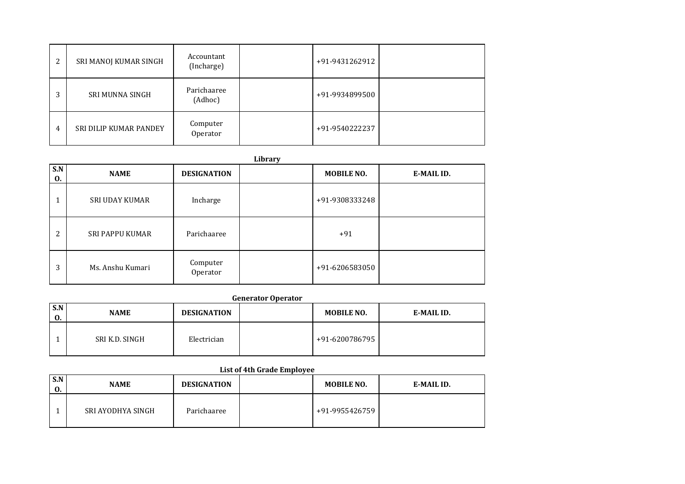| 2 | SRI MANOJ KUMAR SINGH  | Accountant<br>(Incharge) | +91-9431262912 |  |
|---|------------------------|--------------------------|----------------|--|
| 3 | <b>SRI MUNNA SINGH</b> | Parichaaree<br>(Adhoc)   | +91-9934899500 |  |
| 4 | SRI DILIP KUMAR PANDEY | Computer<br>Operator     | +91-9540222237 |  |

| S.N | <b>NAME</b>           | <b>DESIGNATION</b>   | Library | <b>MOBILE NO.</b> | E-MAIL ID. |
|-----|-----------------------|----------------------|---------|-------------------|------------|
| 0.  |                       |                      |         |                   |            |
|     | <b>SRI UDAY KUMAR</b> | Incharge             |         | +91-9308333248    |            |
| 2   | SRI PAPPU KUMAR       | Parichaaree          |         | $+91$             |            |
| 3   | Ms. Anshu Kumari      | Computer<br>Operator |         | +91-6206583050    |            |

### **Generator Operator**

| S.N<br>0. | <b>NAME</b>    | <b>DESIGNATION</b> | <b>MOBILE NO.</b> | E-MAIL ID. |
|-----------|----------------|--------------------|-------------------|------------|
|           | SRI K.D. SINGH | Electrician        | $+91-6200786795$  |            |

# **List of 4th Grade Employee**

| S.N<br>v. | <b>NAME</b>       | <b>DESIGNATION</b> | <b>MOBILE NO.</b> | E-MAIL ID. |
|-----------|-------------------|--------------------|-------------------|------------|
|           | SRI AYODHYA SINGH | Parichaaree        | +91-9955426759    |            |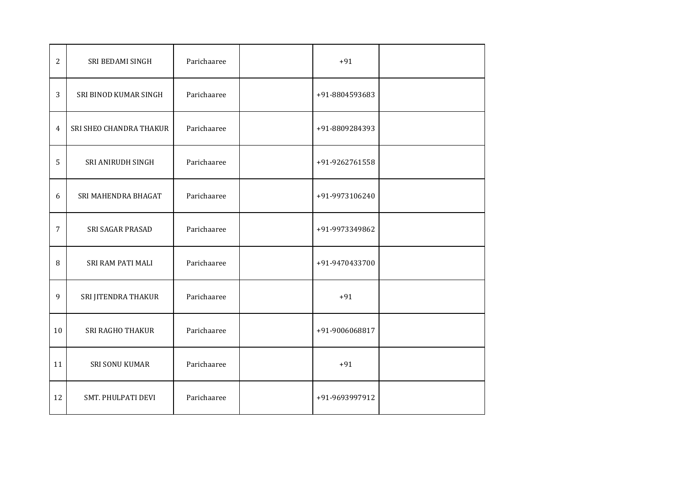| $\overline{2}$ | SRI BEDAMI SINGH        | Parichaaree | $+91$          |  |
|----------------|-------------------------|-------------|----------------|--|
| 3              | SRI BINOD KUMAR SINGH   | Parichaaree | +91-8804593683 |  |
| 4              | SRI SHEO CHANDRA THAKUR | Parichaaree | +91-8809284393 |  |
| 5              | SRI ANIRUDH SINGH       | Parichaaree | +91-9262761558 |  |
| $6\,$          | SRI MAHENDRA BHAGAT     | Parichaaree | +91-9973106240 |  |
| 7              | SRI SAGAR PRASAD        | Parichaaree | +91-9973349862 |  |
| 8              | SRI RAM PATI MALI       | Parichaaree | +91-9470433700 |  |
| 9              | SRI JITENDRA THAKUR     | Parichaaree | $+91$          |  |
| 10             | SRI RAGHO THAKUR        | Parichaaree | +91-9006068817 |  |
| 11             | SRI SONU KUMAR          | Parichaaree | $+91$          |  |
| 12             | SMT. PHULPATI DEVI      | Parichaaree | +91-9693997912 |  |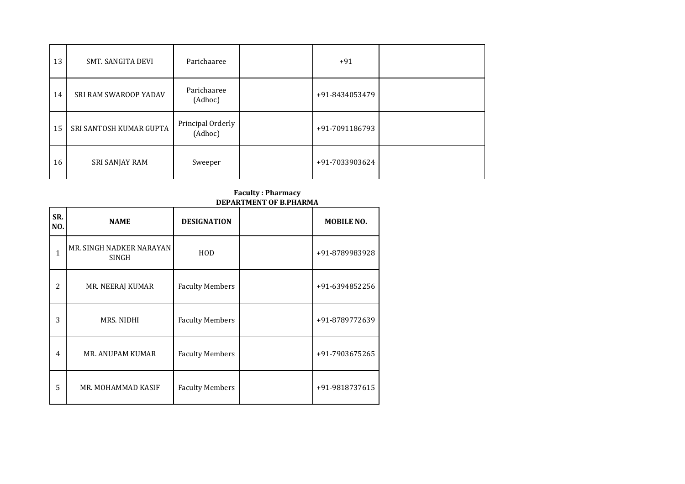| 13 | <b>SMT. SANGITA DEVI</b> | Parichaaree                  | $+91$          |  |
|----|--------------------------|------------------------------|----------------|--|
| 14 | SRI RAM SWAROOP YADAV    | Parichaaree<br>(Adhoc)       | +91-8434053479 |  |
| 15 | SRI SANTOSH KUMAR GUPTA  | Principal Orderly<br>(Adhoc) | +91-7091186793 |  |
| 16 | SRI SANJAY RAM           | Sweeper                      | +91-7033903624 |  |

#### **Faculty : Pharmacy DEPARTMENT OF B.PHARMA**

| SR.<br>NO. | <b>NAME</b>                       | <b>DESIGNATION</b>     | <b>MOBILE NO.</b> |
|------------|-----------------------------------|------------------------|-------------------|
| 1          | MR. SINGH NADKER NARAYAN<br>SINGH | HOD                    | +91-8789983928    |
| 2          | MR. NEERAJ KUMAR                  | <b>Faculty Members</b> | +91-6394852256    |
| 3          | MRS. NIDHI                        | <b>Faculty Members</b> | +91-8789772639    |
| 4          | MR. ANUPAM KUMAR                  | <b>Faculty Members</b> | +91-7903675265    |
| 5          | MR. MOHAMMAD KASIF                | <b>Faculty Members</b> | +91-9818737615    |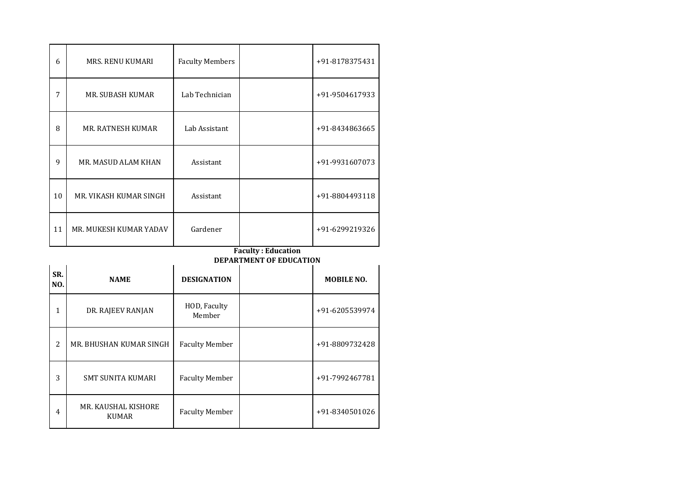| 6            | <b>MRS. RENU KUMARI</b>  | <b>Faculty Members</b> |                                                             | +91-8178375431    |
|--------------|--------------------------|------------------------|-------------------------------------------------------------|-------------------|
| 7            | MR. SUBASH KUMAR         | Lab Technician         |                                                             | +91-9504617933    |
| 8            | MR. RATNESH KUMAR        | Lab Assistant          |                                                             | +91-8434863665    |
| 9            | MR. MASUD ALAM KHAN      | Assistant              |                                                             | +91-9931607073    |
| 10           | MR. VIKASH KUMAR SINGH   | Assistant              |                                                             | +91-8804493118    |
| 11           | MR. MUKESH KUMAR YADAV   | Gardener               |                                                             | +91-6299219326    |
|              |                          |                        |                                                             |                   |
|              |                          |                        | <b>Faculty: Education</b><br><b>DEPARTMENT OF EDUCATION</b> |                   |
| SR.<br>NO.   | <b>NAME</b>              | <b>DESIGNATION</b>     |                                                             | <b>MOBILE NO.</b> |
| $\mathbf{1}$ | DR. RAJEEV RANJAN        | HOD, Faculty<br>Member |                                                             | +91-6205539974    |
| 2            | MR. BHUSHAN KUMAR SINGH  | <b>Faculty Member</b>  |                                                             | +91-8809732428    |
| 3            | <b>SMT SUNITA KUMARI</b> | <b>Faculty Member</b>  |                                                             | +91-7992467781    |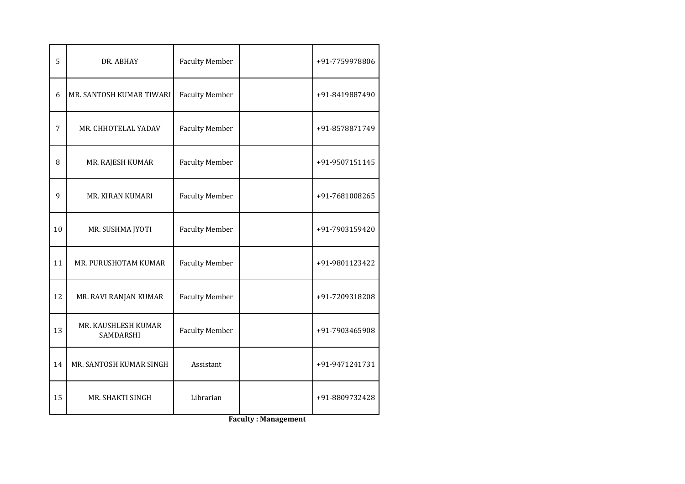| 5  | DR. ABHAY                        | <b>Faculty Member</b> | +91-7759978806 |
|----|----------------------------------|-----------------------|----------------|
| 6  | MR. SANTOSH KUMAR TIWARI         | <b>Faculty Member</b> | +91-8419887490 |
| 7  | MR. CHHOTELAL YADAV              | <b>Faculty Member</b> | +91-8578871749 |
| 8  | MR. RAJESH KUMAR                 | <b>Faculty Member</b> | +91-9507151145 |
| 9  | MR. KIRAN KUMARI                 | <b>Faculty Member</b> | +91-7681008265 |
| 10 | MR. SUSHMA JYOTI                 | <b>Faculty Member</b> | +91-7903159420 |
| 11 | MR. PURUSHOTAM KUMAR             | <b>Faculty Member</b> | +91-9801123422 |
| 12 | MR. RAVI RANJAN KUMAR            | <b>Faculty Member</b> | +91-7209318208 |
| 13 | MR. KAUSHLESH KUMAR<br>SAMDARSHI | <b>Faculty Member</b> | +91-7903465908 |
| 14 | MR. SANTOSH KUMAR SINGH          | Assistant             | +91-9471241731 |
| 15 | MR. SHAKTI SINGH                 | Librarian             | +91-8809732428 |

**Faculty : Management**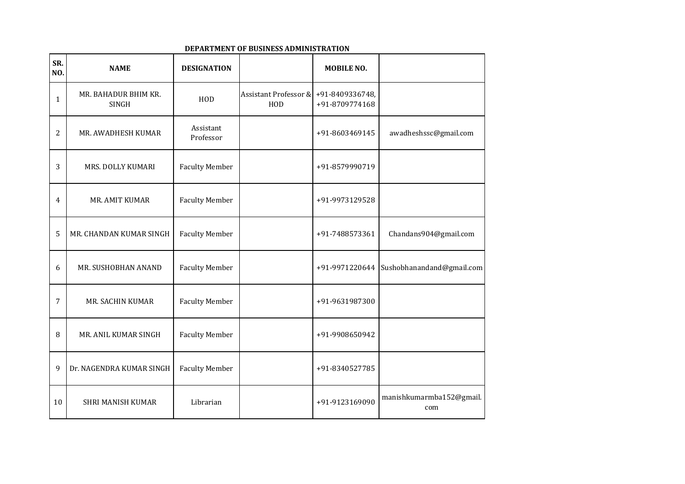| SR.<br>NO.   | <b>NAME</b>                   | <b>DESIGNATION</b>     |                                         | <b>MOBILE NO.</b>                 |                                 |
|--------------|-------------------------------|------------------------|-----------------------------------------|-----------------------------------|---------------------------------|
| $\mathbf{1}$ | MR. BAHADUR BHIM KR.<br>SINGH | HOD                    | <b>Assistant Professor &amp;</b><br>HOD | +91-8409336748,<br>+91-8709774168 |                                 |
| 2            | MR. AWADHESH KUMAR            | Assistant<br>Professor |                                         | +91-8603469145                    | awadheshssc@gmail.com           |
| 3            | MRS. DOLLY KUMARI             | <b>Faculty Member</b>  |                                         | +91-8579990719                    |                                 |
| 4            | MR. AMIT KUMAR                | <b>Faculty Member</b>  |                                         | +91-9973129528                    |                                 |
| 5            | MR. CHANDAN KUMAR SINGH       | <b>Faculty Member</b>  |                                         | +91-7488573361                    | Chandans904@gmail.com           |
| 6            | MR. SUSHOBHAN ANAND           | <b>Faculty Member</b>  |                                         | +91-9971220644                    | Sushobhanandand@gmail.com       |
| 7            | MR. SACHIN KUMAR              | <b>Faculty Member</b>  |                                         | +91-9631987300                    |                                 |
| 8            | MR. ANIL KUMAR SINGH          | <b>Faculty Member</b>  |                                         | +91-9908650942                    |                                 |
| 9            | Dr. NAGENDRA KUMAR SINGH      | <b>Faculty Member</b>  |                                         | +91-8340527785                    |                                 |
| 10           | <b>SHRI MANISH KUMAR</b>      | Librarian              |                                         | +91-9123169090                    | manishkumarmba152@gmail.<br>com |

#### **DEPARTMENT OF BUSINESS ADMINISTRATION**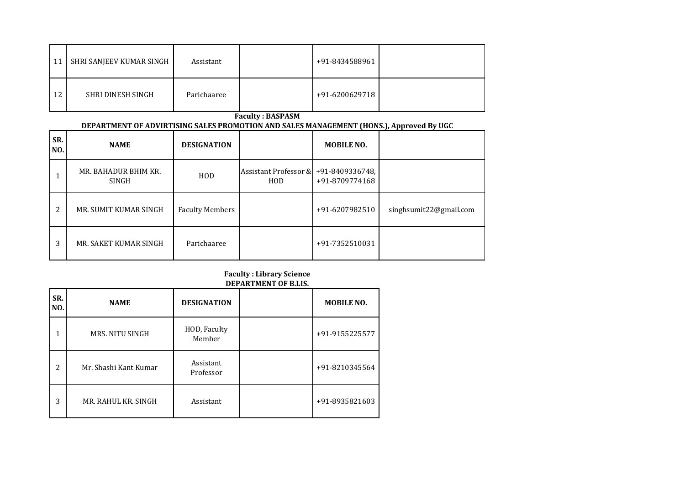| -11 | SHRI SANJEEV KUMAR SINGH | Assistant   | +91-8434588961 |  |
|-----|--------------------------|-------------|----------------|--|
| 12  | SHRI DINESH SINGH        | Parichaaree | +91-6200629718 |  |

**Faculty : BASPASM**

#### **DEPARTMENT OF ADVIRTISING SALES PROMOTION AND SALES MANAGEMENT (HONS.), Approved By UGC**

| SR.<br>NO. | <b>NAME</b>                   | <b>DESIGNATION</b>     |                                                              | <b>MOBILE NO.</b> |                        |
|------------|-------------------------------|------------------------|--------------------------------------------------------------|-------------------|------------------------|
|            | MR. BAHADUR BHIM KR.<br>SINGH | HOD                    | Assistant Professor & $+91-8409336748$ ,<br>H <sub>O</sub> D | +91-8709774168    |                        |
| 2          | MR. SUMIT KUMAR SINGH         | <b>Faculty Members</b> |                                                              | +91-6207982510    | singhsumit22@gmail.com |
| 3          | MR. SAKET KUMAR SINGH         | Parichaaree            |                                                              | +91-7352510031    |                        |

### **Faculty : Library Science DEPARTMENT OF B.LIS.**

| SR.<br>NO.     | <b>NAME</b>           | <b>DESIGNATION</b>     | <b>MOBILE NO.</b> |
|----------------|-----------------------|------------------------|-------------------|
| 1              | MRS. NITU SINGH       | HOD, Faculty<br>Member | +91-9155225577    |
| $\overline{c}$ | Mr. Shashi Kant Kumar | Assistant<br>Professor | +91-8210345564    |
| 3              | MR. RAHUL KR. SINGH   | Assistant              | +91-8935821603    |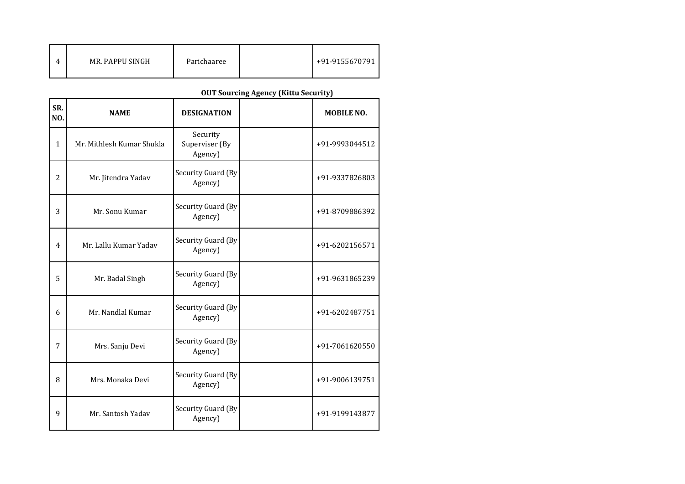|  | MR. PAPPU SINGH | Parichaaree |  | +91-9155670791 |
|--|-----------------|-------------|--|----------------|
|--|-----------------|-------------|--|----------------|

# **OUT Sourcing Agency (Kittu Security)**

| SR.<br>NO.     | <b>NAME</b>               | <b>DESIGNATION</b>                    | <b>MOBILE NO.</b> |
|----------------|---------------------------|---------------------------------------|-------------------|
| $\mathbf{1}$   | Mr. Mithlesh Kumar Shukla | Security<br>Superviser (By<br>Agency) | +91-9993044512    |
| $\overline{2}$ | Mr. Jitendra Yadav        | Security Guard (By<br>Agency)         | +91-9337826803    |
| 3              | Mr. Sonu Kumar            | Security Guard (By<br>Agency)         | +91-8709886392    |
| 4              | Mr. Lallu Kumar Yadav     | Security Guard (By<br>Agency)         | +91-6202156571    |
| 5              | Mr. Badal Singh           | Security Guard (By<br>Agency)         | +91-9631865239    |
| 6              | Mr. Nandlal Kumar         | Security Guard (By<br>Agency)         | +91-6202487751    |
| 7              | Mrs. Sanju Devi           | Security Guard (By<br>Agency)         | +91-7061620550    |
| 8              | Mrs. Monaka Devi          | Security Guard (By<br>Agency)         | +91-9006139751    |
| 9              | Mr. Santosh Yadav         | Security Guard (By<br>Agency)         | +91-9199143877    |